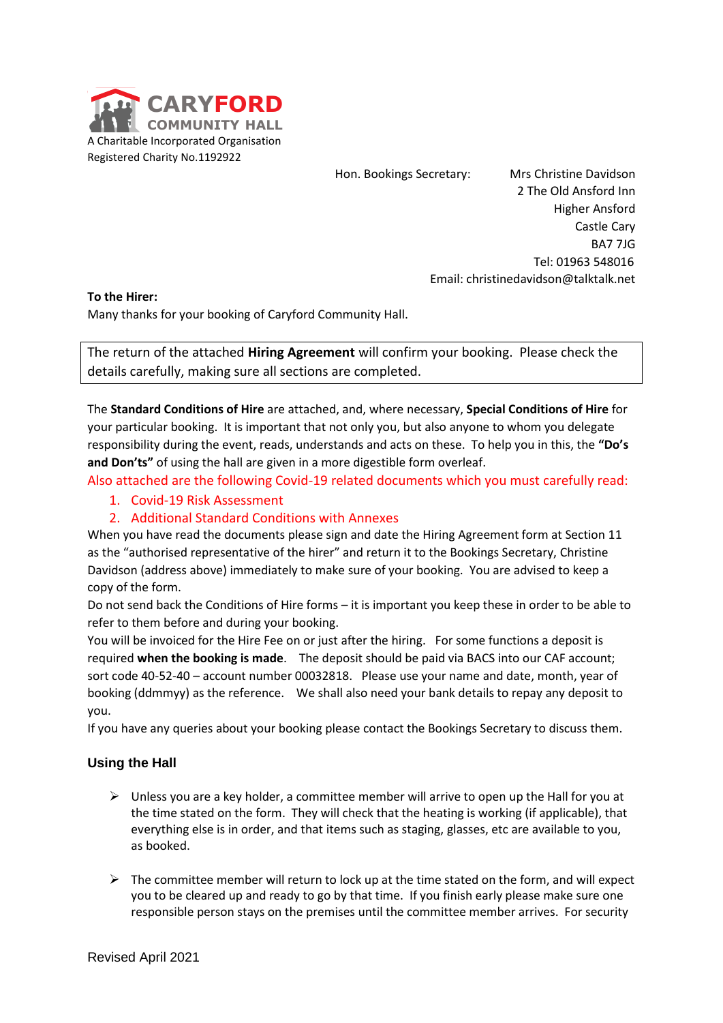

Hon. Bookings Secretary: Mrs Christine Davidson

 Higher Ansford Castle Cary BA7 7JG Tel: 01963 548016 Email: christinedavidson@talktalk.net

2 The Old Ansford Inn

### **To the Hirer:**

Many thanks for your booking of Caryford Community Hall.

The return of the attached **Hiring Agreement** will confirm your booking. Please check the details carefully, making sure all sections are completed.

The **Standard Conditions of Hire** are attached, and, where necessary, **Special Conditions of Hire** for your particular booking. It is important that not only you, but also anyone to whom you delegate responsibility during the event, reads, understands and acts on these. To help you in this, the **"Do's and Don'ts"** of using the hall are given in a more digestible form overleaf.

Also attached are the following Covid-19 related documents which you must carefully read:

1. Covid-19 Risk Assessment

## 2. Additional Standard Conditions with Annexes

When you have read the documents please sign and date the Hiring Agreement form at Section 11 as the "authorised representative of the hirer" and return it to the Bookings Secretary, Christine Davidson (address above) immediately to make sure of your booking. You are advised to keep a copy of the form.

Do not send back the Conditions of Hire forms – it is important you keep these in order to be able to refer to them before and during your booking.

Revised April 2021 **CARYFORD** You will be invoiced for the Hire Fee on or just after the hiring. For some functions a deposit is required **when the booking is made**. The deposit should be paid via BACS into our CAF account; sort code 40-52-40 – account number 00032818. Please use your name and date, month, year of booking (ddmmyy) as the reference. We shall also need your bank details to repay any deposit to you.

If you have any queries about your booking please contact the Bookings Secretary to discuss them.

### **Using the Hall**

- $\triangleright$  Unless you are a key holder, a committee member will arrive to open up the Hall for you at the time stated on the form. They will check that the heating is working (if applicable), that everything else is in order, and that items such as staging, glasses, etc are available to you, as booked.
- $\triangleright$  The committee member will return to lock up at the time stated on the form, and will expect you to be cleared up and ready to go by that time. If you finish early please make sure one responsible person stays on the premises until the committee member arrives. For security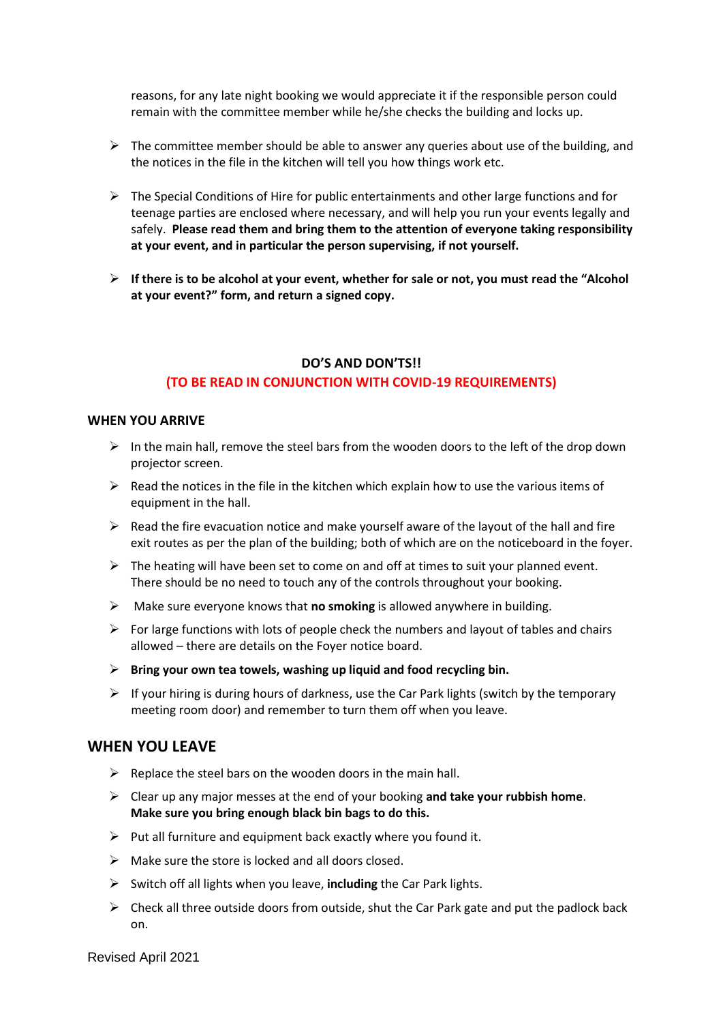reasons, for any late night booking we would appreciate it if the responsible person could remain with the committee member while he/she checks the building and locks up.

- $\triangleright$  The committee member should be able to answer any queries about use of the building, and the notices in the file in the kitchen will tell you how things work etc.
- $\triangleright$  The Special Conditions of Hire for public entertainments and other large functions and for teenage parties are enclosed where necessary, and will help you run your events legally and safely. **Please read them and bring them to the attention of everyone taking responsibility at your event, and in particular the person supervising, if not yourself.**
- ➢ **If there is to be alcohol at your event, whether for sale or not, you must read the "Alcohol at your event?" form, and return a signed copy.**

### **DO'S AND DON'TS!!**

#### **(TO BE READ IN CONJUNCTION WITH COVID-19 REQUIREMENTS)**

### **WHEN YOU ARRIVE**

- $\triangleright$  In the main hall, remove the steel bars from the wooden doors to the left of the drop down projector screen.
- $\triangleright$  Read the notices in the file in the kitchen which explain how to use the various items of equipment in the hall.
- $\triangleright$  Read the fire evacuation notice and make yourself aware of the layout of the hall and fire exit routes as per the plan of the building; both of which are on the noticeboard in the foyer.
- $\triangleright$  The heating will have been set to come on and off at times to suit your planned event. There should be no need to touch any of the controls throughout your booking.
- ➢ Make sure everyone knows that **no smoking** is allowed anywhere in building.
- $\triangleright$  For large functions with lots of people check the numbers and layout of tables and chairs allowed – there are details on the Foyer notice board.
- ➢ **Bring your own tea towels, washing up liquid and food recycling bin.**
- $\triangleright$  If your hiring is during hours of darkness, use the Car Park lights (switch by the temporary meeting room door) and remember to turn them off when you leave.

### **WHEN YOU LEAVE**

- $\triangleright$  Replace the steel bars on the wooden doors in the main hall.
- ➢ Clear up any major messes at the end of your booking **and take your rubbish home**. **Make sure you bring enough black bin bags to do this.**
- $\triangleright$  Put all furniture and equipment back exactly where you found it.
- $\triangleright$  Make sure the store is locked and all doors closed.
- ➢ Switch off all lights when you leave, **including** the Car Park lights.
- $\triangleright$  Check all three outside doors from outside, shut the Car Park gate and put the padlock back on.